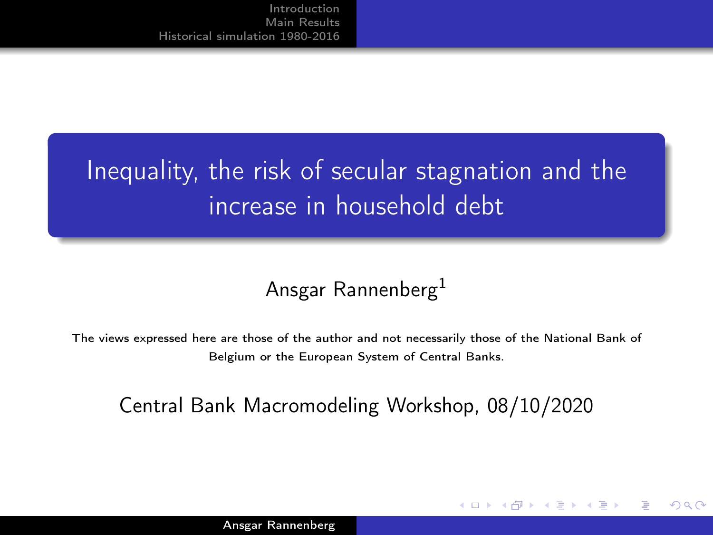# <span id="page-0-0"></span>Inequality, the risk of secular stagnation and the increase in household debt

#### Ansgar Rannenberg<sup>1</sup>

The views expressed here are those of the author and not necessarily those of the National Bank of Belgium or the European System of Central Banks.

#### Central Bank Macromodeling Workshop, 08/10/2020

つくい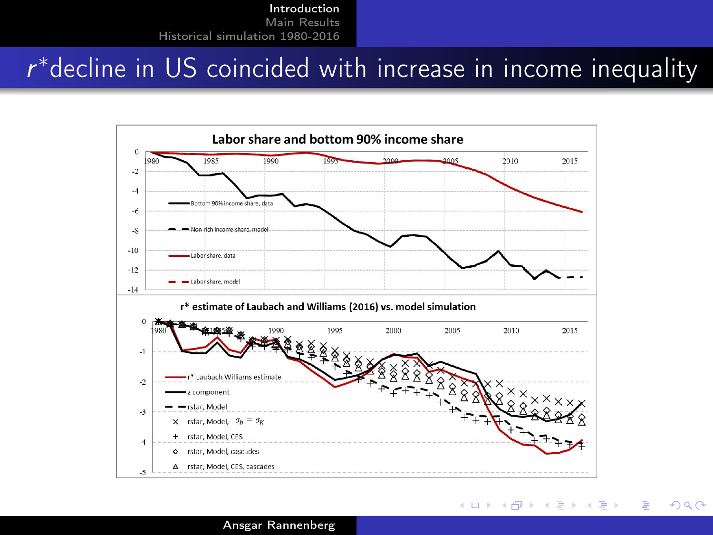# <span id="page-1-0"></span> $r^*$ decline in US coincided with increase in income inequality



**K ロ ▶ K 伊 ▶ K ミ** 

メス 国家

э

 $\Omega$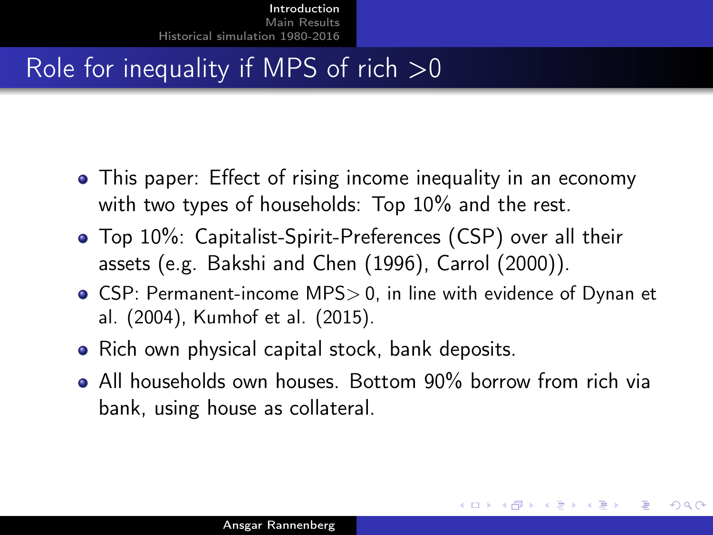## <span id="page-2-0"></span>Role for inequality if MPS of rich  $>0$

- This paper: Effect of rising income inequality in an economy with two types of households: Top 10% and the rest.
- Top 10%: Capitalist-Spirit-Preferences (CSP) over all their assets (e.g. Bakshi and Chen (1996), Carrol (2000)).
- CSP: Permanent-income MPS> 0, in line with evidence of Dynan et al. (2004), Kumhof et al. (2015).
- Rich own physical capital stock, bank deposits.
- All households own houses. Bottom 90% borrow from rich via bank, using house as collateral.

つくへ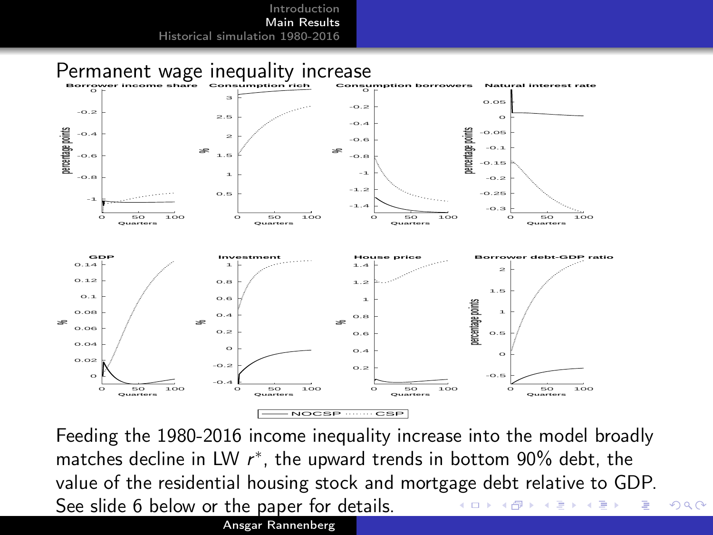<span id="page-3-0"></span>

Feeding the 1980-2016 income inequality increase into the model broadly matches decline in LW  $r^*$ , the upward trends in bottom 90% debt, the value of the residential housing stock and mortgage debt relative to GDP. See slide 6 below or the paper for details.  $QQ$ D.  $\mathcal{A}$  $\sim$ Þ.

Ansgar Rannenberg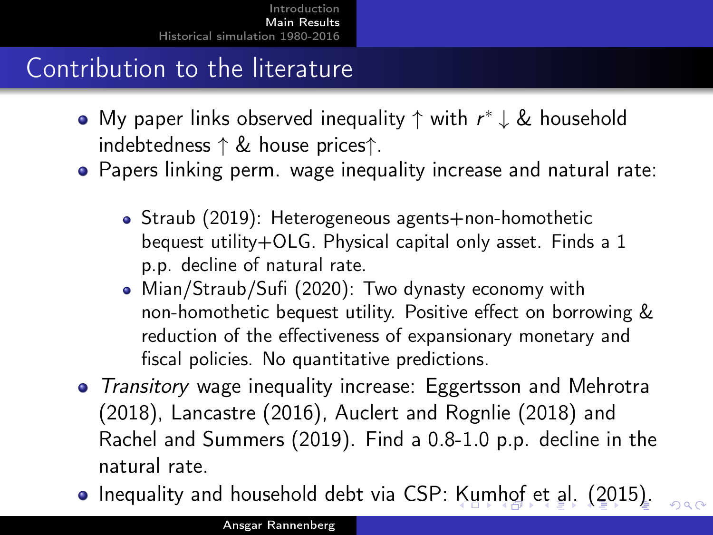## <span id="page-4-0"></span>Contribution to the literature

- My paper links observed inequality  $\uparrow$  with  $r^*\downarrow \&$  household indebtedness ↑ & house prices↑.
- Papers linking perm. wage inequality increase and natural rate:
	- Straub (2019): Heterogeneous agents+non-homothetic bequest utility+OLG. Physical capital only asset. Finds a 1 p.p. decline of natural rate.
	- Mian/Straub/Sufi (2020): Two dynasty economy with non-homothetic bequest utility. Positive effect on borrowing & reduction of the effectiveness of expansionary monetary and fiscal policies. No quantitative predictions.
- Transitory wage inequality increase: Eggertsson and Mehrotra (2018), Lancastre (2016), Auclert and Rognlie (2018) and Rachel and Summers (2019). Find a 0.8-1.0 p.p. decline in the natural rate.
- Inequality and household debt via CSP: [Ku](#page-3-0)[m](#page-5-0)[h](#page-3-0)[of](#page-4-0) [e](#page-5-0)[t](#page-2-0)[al](#page-4-0)[.](#page-8-0) [\(](#page-2-0)[2](#page-3-0)[0](#page-4-0)[1](#page-5-0)[5\)](#page-0-0).

 $000$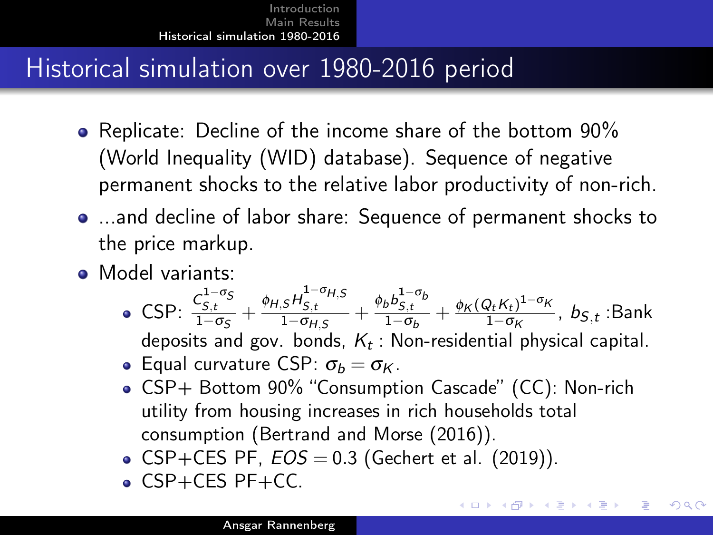## <span id="page-5-0"></span>Historical simulation over 1980-2016 period

- Replicate: Decline of the income share of the bottom 90% (World Inequality (WID) database). Sequence of negative permanent shocks to the relative labor productivity of non-rich.
- ...and decline of labor share: Sequence of permanent shocks to the price markup.
- Model variants:
	- CSP:  $\frac{C_{S,t}^{1-\sigma_S}}{1-\sigma_S} + \frac{\phi_{H,S}H_{S,t}^{1-\sigma_{H,S}}}{1-\sigma_{H,S}} + \frac{\phi_b b_{S,t}^{1-\sigma_b}}{1-\sigma_b} + \frac{\phi_K (Q_t K_t)^{1-\sigma_K}}{1-\sigma_K}$  $\frac{\mathcal{H} \wedge t}{1-\sigma_K}$ ,  $b_{S,t}$ :Bank deposits and gov. bonds,  $K_t$ : Non-residential physical capital. **Equal curvature CSP:**  $\sigma_b = \sigma_K$ .
	- CSP+ Bottom 90% "Consumption Cascade" (CC): Non-rich utility from housing increases in rich households total consumption (Bertrand and Morse (2016)).

イロト イ母 トイヨ トイヨ トー ヨ

 $200$ 

- CSP+CES PF,  $EOS = 0.3$  (Gechert et al. (2019)).
- CSP+CES PF+CC.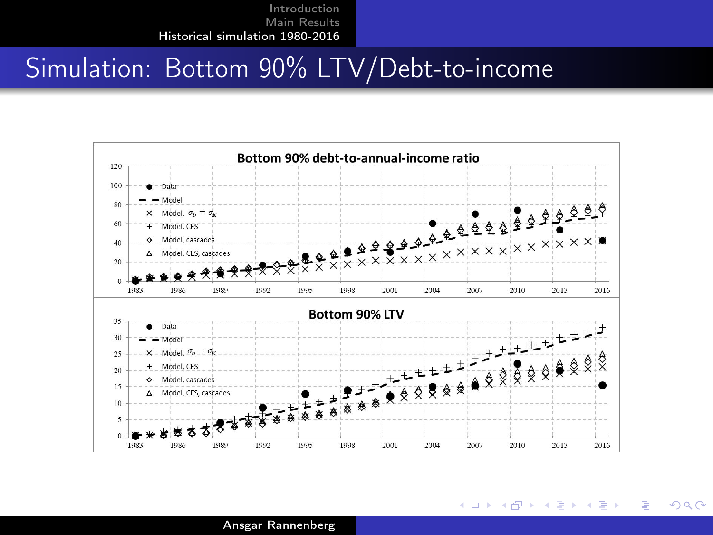### Simulation: Bottom 90% LTV/Debt-to-income



 $QQ$ 

э

メロメ メ母メ メミメ メミメ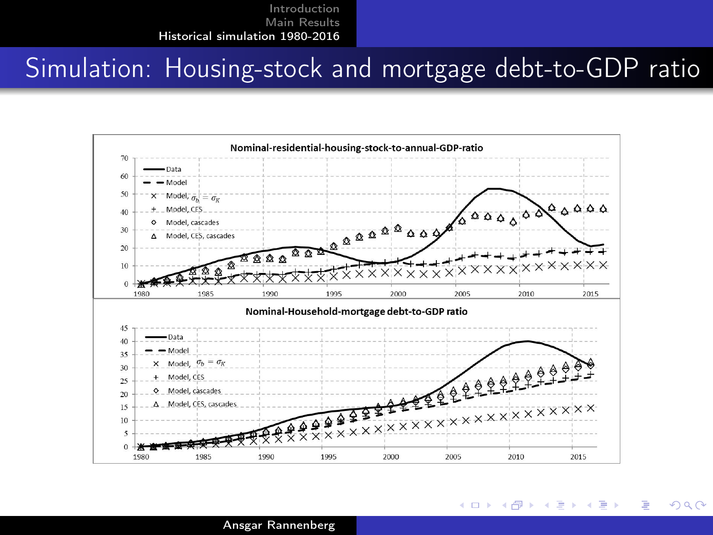#### Simulation: Housing-stock and mortgage debt-to-GDP ratio



メロメ メ母メ メミメ メミメ

 $200$